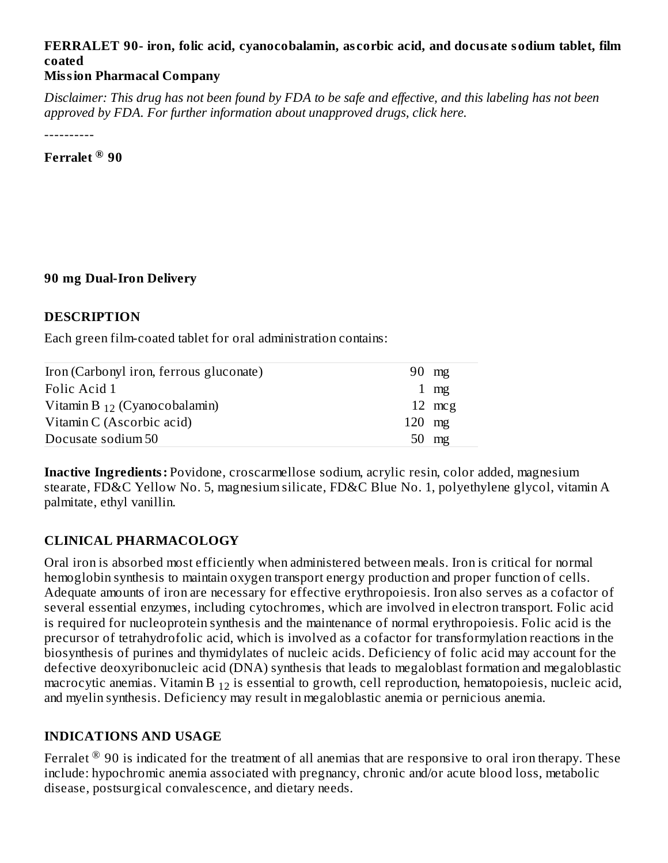# **FERRALET 90- iron, folic acid, cyanocobalamin, as corbic acid, and docusate sodium tablet, film coated**

## **Mission Pharmacal Company**

Disclaimer: This drug has not been found by FDA to be safe and effective, and this labeling has not been *approved by FDA. For further information about unapproved drugs, click here.*

----------

**Ferralet 90 ®**

### **90 mg Dual-Iron Delivery**

### **DESCRIPTION**

Each green film-coated tablet for oral administration contains:

| Iron (Carbonyl iron, ferrous gluconate) |          | $90 \text{ mg}$  |
|-----------------------------------------|----------|------------------|
| Folic Acid 1                            |          | $1 \text{ mg}$   |
| Vitamin B $_{12}$ (Cyanocobalamin)      |          | $12 \text{ mcg}$ |
| Vitamin C (Ascorbic acid)               | $120$ mg |                  |
| Docusate sodium 50                      |          | $50 \text{ mg}$  |

**Inactive Ingredients:** Povidone, croscarmellose sodium, acrylic resin, color added, magnesium stearate, FD&C Yellow No. 5, magnesium silicate, FD&C Blue No. 1, polyethylene glycol, vitamin A palmitate, ethyl vanillin.

## **CLINICAL PHARMACOLOGY**

Oral iron is absorbed most efficiently when administered between meals. Iron is critical for normal hemoglobin synthesis to maintain oxygen transport energy production and proper function of cells. Adequate amounts of iron are necessary for effective erythropoiesis. Iron also serves as a cofactor of several essential enzymes, including cytochromes, which are involved in electron transport. Folic acid is required for nucleoprotein synthesis and the maintenance of normal erythropoiesis. Folic acid is the precursor of tetrahydrofolic acid, which is involved as a cofactor for transformylation reactions in the biosynthesis of purines and thymidylates of nucleic acids. Deficiency of folic acid may account for the defective deoxyribonucleic acid (DNA) synthesis that leads to megaloblast formation and megaloblastic macrocytic anemias. Vitamin B  $_{12}$  is essential to growth, cell reproduction, hematopoiesis, nucleic acid, and myelin synthesis. Deficiency may result in megaloblastic anemia or pernicious anemia.

### **INDICATIONS AND USAGE**

Ferralet  $^{\circledR}$  90 is indicated for the treatment of all anemias that are responsive to oral iron therapy. These include: hypochromic anemia associated with pregnancy, chronic and/or acute blood loss, metabolic disease, postsurgical convalescence, and dietary needs.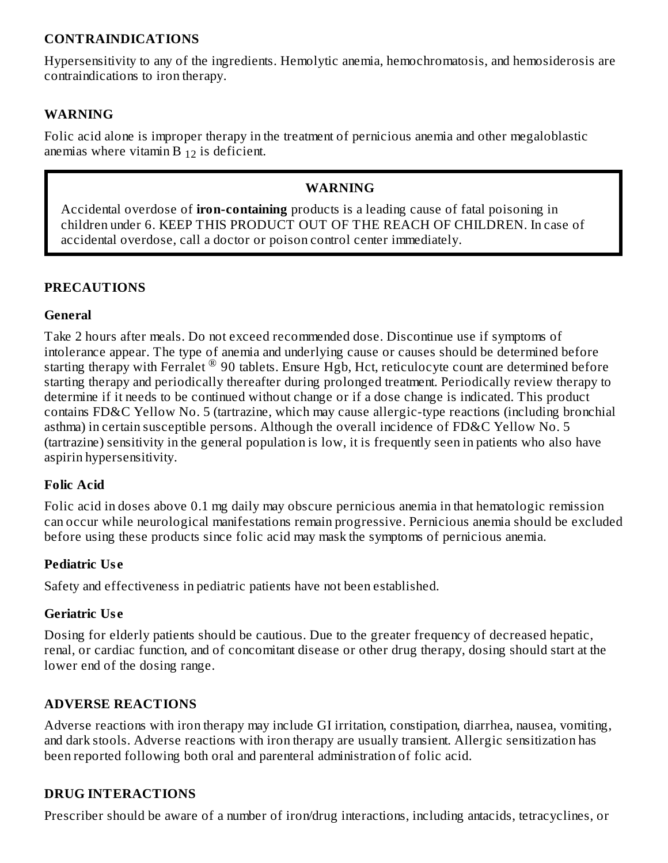## **CONTRAINDICATIONS**

Hypersensitivity to any of the ingredients. Hemolytic anemia, hemochromatosis, and hemosiderosis are contraindications to iron therapy.

## **WARNING**

Folic acid alone is improper therapy in the treatment of pernicious anemia and other megaloblastic anemias where vitamin B  $_{12}$  is deficient.

## **WARNING**

Accidental overdose of **iron-containing** products is a leading cause of fatal poisoning in children under 6. KEEP THIS PRODUCT OUT OF THE REACH OF CHILDREN. In case of accidental overdose, call a doctor or poison control center immediately.

## **PRECAUTIONS**

## **General**

Take 2 hours after meals. Do not exceed recommended dose. Discontinue use if symptoms of intolerance appear. The type of anemia and underlying cause or causes should be determined before starting therapy with Ferralet  $^{\circledR}$  90 tablets. Ensure Hgb, Hct, reticulocyte count are determined before starting therapy and periodically thereafter during prolonged treatment. Periodically review therapy to determine if it needs to be continued without change or if a dose change is indicated. This product contains FD&C Yellow No. 5 (tartrazine, which may cause allergic-type reactions (including bronchial asthma) in certain susceptible persons. Although the overall incidence of FD&C Yellow No. 5 (tartrazine) sensitivity in the general population is low, it is frequently seen in patients who also have aspirin hypersensitivity.

## **Folic Acid**

Folic acid in doses above 0.1 mg daily may obscure pernicious anemia in that hematologic remission can occur while neurological manifestations remain progressive. Pernicious anemia should be excluded before using these products since folic acid may mask the symptoms of pernicious anemia.

## **Pediatric Us e**

Safety and effectiveness in pediatric patients have not been established.

### **Geriatric Us e**

Dosing for elderly patients should be cautious. Due to the greater frequency of decreased hepatic, renal, or cardiac function, and of concomitant disease or other drug therapy, dosing should start at the lower end of the dosing range.

## **ADVERSE REACTIONS**

Adverse reactions with iron therapy may include GI irritation, constipation, diarrhea, nausea, vomiting, and dark stools. Adverse reactions with iron therapy are usually transient. Allergic sensitization has been reported following both oral and parenteral administration of folic acid.

## **DRUG INTERACTIONS**

Prescriber should be aware of a number of iron/drug interactions, including antacids, tetracyclines, or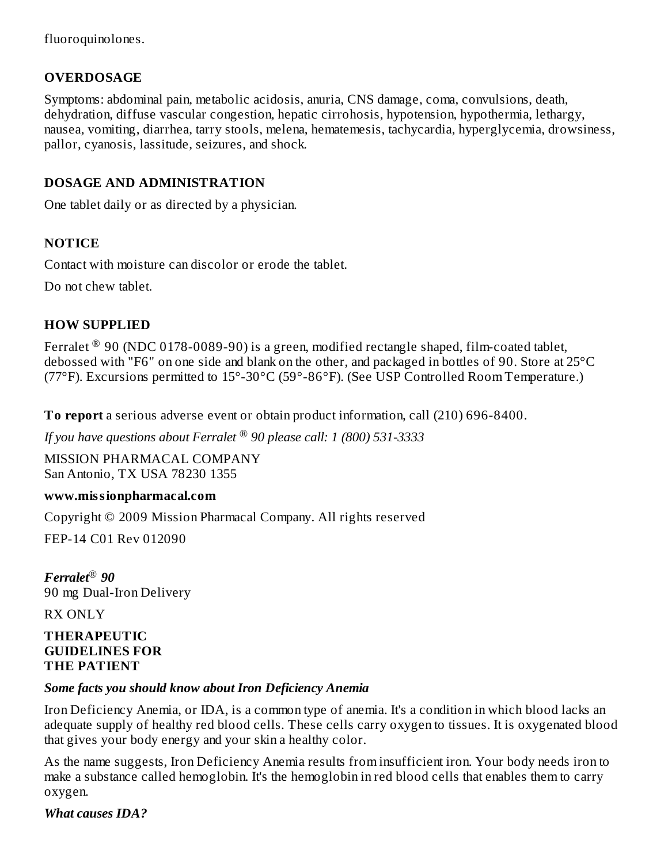fluoroquinolones.

## **OVERDOSAGE**

Symptoms: abdominal pain, metabolic acidosis, anuria, CNS damage, coma, convulsions, death, dehydration, diffuse vascular congestion, hepatic cirrohosis, hypotension, hypothermia, lethargy, nausea, vomiting, diarrhea, tarry stools, melena, hematemesis, tachycardia, hyperglycemia, drowsiness, pallor, cyanosis, lassitude, seizures, and shock.

## **DOSAGE AND ADMINISTRATION**

One tablet daily or as directed by a physician.

## **NOTICE**

Contact with moisture can discolor or erode the tablet.

Do not chew tablet.

## **HOW SUPPLIED**

Ferralet  $^\circledR$  90 (NDC 0178-0089-90) is a green, modified rectangle shaped, film-coated tablet, debossed with "F6" on one side and blank on the other, and packaged in bottles of 90. Store at 25°C (77°F). Excursions permitted to 15°-30°C (59°-86°F). (See USP Controlled Room Temperature.)

**To report** a serious adverse event or obtain product information, call (210) 696-8400.

*If you have questions about Ferralet 90 please call: 1 (800) 531-3333 ®*

MISSION PHARMACAL COMPANY San Antonio, TX USA 78230 1355

## **www.missionpharmacal.com**

Copyright © 2009 Mission Pharmacal Company. All rights reserved

FEP-14 C01 Rev 012090

*Ferralet 90* ®90 mg Dual-Iron Delivery

RX ONLY

### **THERAPEUTIC GUIDELINES FOR THE PATIENT**

## *Some facts you should know about Iron Deficiency Anemia*

Iron Deficiency Anemia, or IDA, is a common type of anemia. It's a condition in which blood lacks an adequate supply of healthy red blood cells. These cells carry oxygen to tissues. It is oxygenated blood that gives your body energy and your skin a healthy color.

As the name suggests, Iron Deficiency Anemia results from insufficient iron. Your body needs iron to make a substance called hemoglobin. It's the hemoglobin in red blood cells that enables them to carry oxygen.

*What causes IDA?*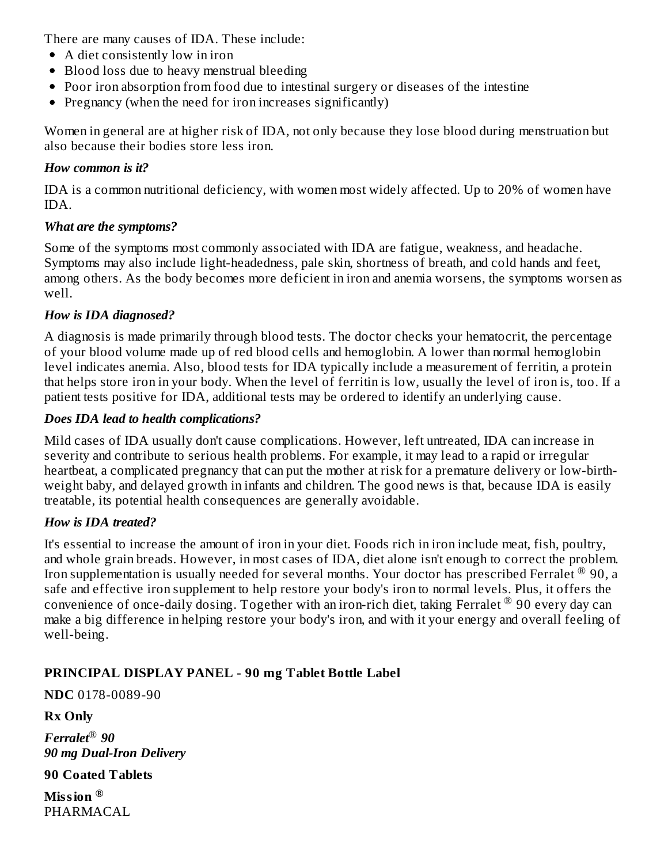There are many causes of IDA. These include:

- A diet consistently low in iron
- Blood loss due to heavy menstrual bleeding
- Poor iron absorption from food due to intestinal surgery or diseases of the intestine
- Pregnancy (when the need for iron increases significantly)

Women in general are at higher risk of IDA, not only because they lose blood during menstruation but also because their bodies store less iron.

### *How common is it?*

IDA is a common nutritional deficiency, with women most widely affected. Up to 20% of women have IDA.

### *What are the symptoms?*

Some of the symptoms most commonly associated with IDA are fatigue, weakness, and headache. Symptoms may also include light-headedness, pale skin, shortness of breath, and cold hands and feet, among others. As the body becomes more deficient in iron and anemia worsens, the symptoms worsen as well.

### *How is IDA diagnosed?*

A diagnosis is made primarily through blood tests. The doctor checks your hematocrit, the percentage of your blood volume made up of red blood cells and hemoglobin. A lower than normal hemoglobin level indicates anemia. Also, blood tests for IDA typically include a measurement of ferritin, a protein that helps store iron in your body. When the level of ferritin is low, usually the level of iron is, too. If a patient tests positive for IDA, additional tests may be ordered to identify an underlying cause.

## *Does IDA lead to health complications?*

Mild cases of IDA usually don't cause complications. However, left untreated, IDA can increase in severity and contribute to serious health problems. For example, it may lead to a rapid or irregular heartbeat, a complicated pregnancy that can put the mother at risk for a premature delivery or low-birthweight baby, and delayed growth in infants and children. The good news is that, because IDA is easily treatable, its potential health consequences are generally avoidable.

### *How is IDA treated?*

It's essential to increase the amount of iron in your diet. Foods rich in iron include meat, fish, poultry, and whole grain breads. However, in most cases of IDA, diet alone isn't enough to correct the problem. Iron supplementation is usually needed for several months. Your doctor has prescribed Ferralet  $^\circledR$  90, a safe and effective iron supplement to help restore your body's iron to normal levels. Plus, it offers the convenience of once-daily dosing. Together with an iron-rich diet, taking Ferralet  $^{\circledR}$  90 every day can make a big difference in helping restore your body's iron, and with it your energy and overall feeling of well-being.

## **PRINCIPAL DISPLAY PANEL - 90 mg Tablet Bottle Label**

**NDC** 0178-0089-90

**Rx Only**

*Ferralet 90* ® *90 mg Dual-Iron Delivery*

**90 Coated Tablets Mission ®**PHARMACAL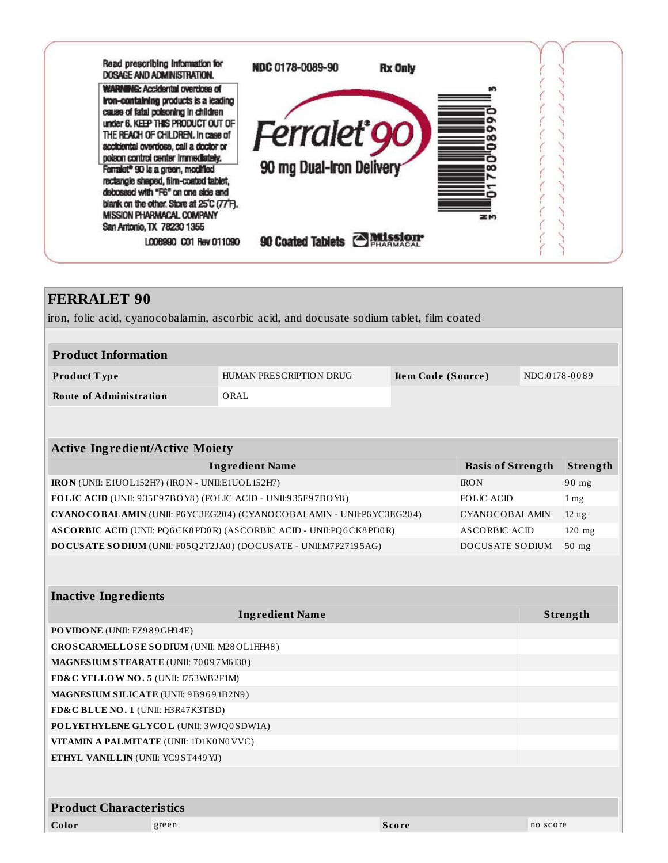

| <b>FERRALET 90</b><br>iron, folic acid, cyanocobalamin, ascorbic acid, and docusate sodium tablet, film coated |                         |                    |                          |                |                 |  |
|----------------------------------------------------------------------------------------------------------------|-------------------------|--------------------|--------------------------|----------------|-----------------|--|
|                                                                                                                |                         |                    |                          |                |                 |  |
| <b>Product Information</b>                                                                                     |                         |                    |                          |                |                 |  |
| Product Type                                                                                                   | HUMAN PRESCRIPTION DRUG | Item Code (Source) |                          | NDC:0178-0089  |                 |  |
| <b>Route of Administration</b>                                                                                 | ORAL                    |                    |                          |                |                 |  |
|                                                                                                                |                         |                    |                          |                |                 |  |
|                                                                                                                |                         |                    |                          |                |                 |  |
| <b>Active Ingredient/Active Moiety</b>                                                                         |                         |                    |                          |                |                 |  |
|                                                                                                                | <b>Ingredient Name</b>  |                    | <b>Basis of Strength</b> |                | <b>Strength</b> |  |
| IRON (UNII: E1UOL152H7) (IRON - UNII:E1UOL152H7)                                                               |                         |                    | <b>IRON</b>              |                | 90 mg           |  |
| FOLIC ACID (UNII: 935E97BOY8) (FOLIC ACID - UNII:935E97BOY8)                                                   |                         |                    | <b>FOLIC ACID</b>        |                | 1 <sub>mg</sub> |  |
| CYANO CO BALAMIN (UNII: P6 YC3EG204) (CYANOCO BALAMIN - UNII: P6 YC3EG204)                                     |                         |                    |                          | CYANOCOBALAMIN |                 |  |
| ASCORBIC ACID (UNII: PQ6CK8PD0R) (ASCORBIC ACID - UNII:PQ6CK8PD0R)                                             |                         |                    | ASCORBIC ACID            |                | 120 mg          |  |
| DOCUSATE SODIUM (UNII: F05Q2T2JA0) (DOCUSATE - UNII:M7P27195AG)                                                |                         |                    | DOCUSATE SODIUM          |                | $50$ mg         |  |
| <b>Inactive Ingredients</b>                                                                                    |                         |                    |                          |                |                 |  |
|                                                                                                                | <b>Ingredient Name</b>  |                    |                          |                | Strength        |  |
| PO VIDO NE (UNII: FZ989GH94E)                                                                                  |                         |                    |                          |                |                 |  |
| CROSCARMELLOSE SODIUM (UNII: M28OL1HH48)                                                                       |                         |                    |                          |                |                 |  |
| <b>MAGNESIUM STEARATE (UNII: 70097M6I30)</b>                                                                   |                         |                    |                          |                |                 |  |
| FD&C YELLOW NO. 5 (UNII: I753WB2F1M)                                                                           |                         |                    |                          |                |                 |  |
| <b>MAGNESIUM SILICATE (UNII: 9B9691B2N9)</b>                                                                   |                         |                    |                          |                |                 |  |
| FD&C BLUE NO. 1 (UNII: H3R47K3TBD)                                                                             |                         |                    |                          |                |                 |  |
| POLYETHYLENE GLYCOL (UNII: 3WJQ0SDW1A)                                                                         |                         |                    |                          |                |                 |  |
| VITAMIN A PALMITATE (UNII: 1D1K0 N0 VVC)                                                                       |                         |                    |                          |                |                 |  |
| ETHYL VANILLIN (UNII: YC9 ST449 YJ)                                                                            |                         |                    |                          |                |                 |  |
|                                                                                                                |                         |                    |                          |                |                 |  |
|                                                                                                                |                         |                    |                          |                |                 |  |
| <b>Product Characteristics</b>                                                                                 |                         |                    |                          |                |                 |  |